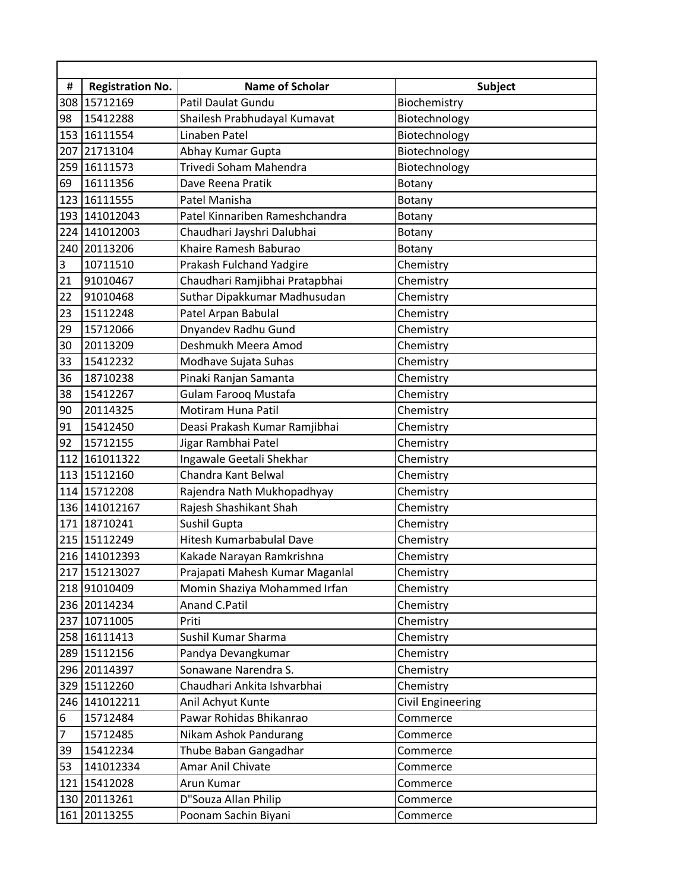| $\#$ | <b>Registration No.</b> | <b>Name of Scholar</b>          | Subject           |
|------|-------------------------|---------------------------------|-------------------|
|      | 308 15712169            | Patil Daulat Gundu              | Biochemistry      |
| 98   | 15412288                | Shailesh Prabhudayal Kumavat    | Biotechnology     |
| 153  | 16111554                | Linaben Patel                   | Biotechnology     |
| 207  | 21713104                | Abhay Kumar Gupta               | Biotechnology     |
| 259  | 16111573                | Trivedi Soham Mahendra          | Biotechnology     |
| 69   | 16111356                | Dave Reena Pratik               | Botany            |
| 123  | 16111555                | Patel Manisha                   | Botany            |
| 193  | 141012043               | Patel Kinnariben Rameshchandra  | Botany            |
|      | 224 141012003           | Chaudhari Jayshri Dalubhai      | Botany            |
| 240  | 20113206                | Khaire Ramesh Baburao           | Botany            |
| 3    | 10711510                | Prakash Fulchand Yadgire        | Chemistry         |
| 21   | 91010467                | Chaudhari Ramjibhai Pratapbhai  | Chemistry         |
| 22   | 91010468                | Suthar Dipakkumar Madhusudan    | Chemistry         |
| 23   | 15112248                | Patel Arpan Babulal             | Chemistry         |
| 29   | 15712066                | Dnyandev Radhu Gund             | Chemistry         |
| 30   | 20113209                | Deshmukh Meera Amod             | Chemistry         |
| 33   | 15412232                | Modhave Sujata Suhas            | Chemistry         |
| 36   | 18710238                | Pinaki Ranjan Samanta           | Chemistry         |
| 38   | 15412267                | <b>Gulam Farooq Mustafa</b>     | Chemistry         |
| 90   | 20114325                | Motiram Huna Patil              | Chemistry         |
| 91   | 15412450                | Deasi Prakash Kumar Ramjibhai   | Chemistry         |
| 92   | 15712155                | Jigar Rambhai Patel             | Chemistry         |
| 112  | 161011322               | Ingawale Geetali Shekhar        | Chemistry         |
|      | 113 15112160            | Chandra Kant Belwal             | Chemistry         |
| 114  | 15712208                | Rajendra Nath Mukhopadhyay      | Chemistry         |
|      | 136 141012167           | Rajesh Shashikant Shah          | Chemistry         |
| 171  | 18710241                | Sushil Gupta                    | Chemistry         |
|      | 215 15112249            | Hitesh Kumarbabulal Dave        | Chemistry         |
|      | 216 141012393           | Kakade Narayan Ramkrishna       | Chemistry         |
|      | 217 151213027           | Prajapati Mahesh Kumar Maganlal | Chemistry         |
|      | 218 91010409            | Momin Shaziya Mohammed Irfan    | Chemistry         |
|      | 236 20114234            | Anand C.Patil                   | Chemistry         |
|      | 237 10711005            | Priti                           | Chemistry         |
|      | 258 16111413            | Sushil Kumar Sharma             | Chemistry         |
|      | 289 15112156            | Pandya Devangkumar              | Chemistry         |
|      | 296 20114397            | Sonawane Narendra S.            | Chemistry         |
|      | 329 15112260            | Chaudhari Ankita Ishvarbhai     | Chemistry         |
|      | 246 141012211           | Anil Achyut Kunte               | Civil Engineering |
| 6    | 15712484                | Pawar Rohidas Bhikanrao         | Commerce          |
| 7    | 15712485                | Nikam Ashok Pandurang           | Commerce          |
| 39   | 15412234                | Thube Baban Gangadhar           | Commerce          |
| 53   | 141012334               | Amar Anil Chivate               | Commerce          |
|      | 121 15412028            | Arun Kumar                      | Commerce          |
|      | 130 20113261            | D"Souza Allan Philip            | Commerce          |
|      | 161 20113255            | Poonam Sachin Biyani            | Commerce          |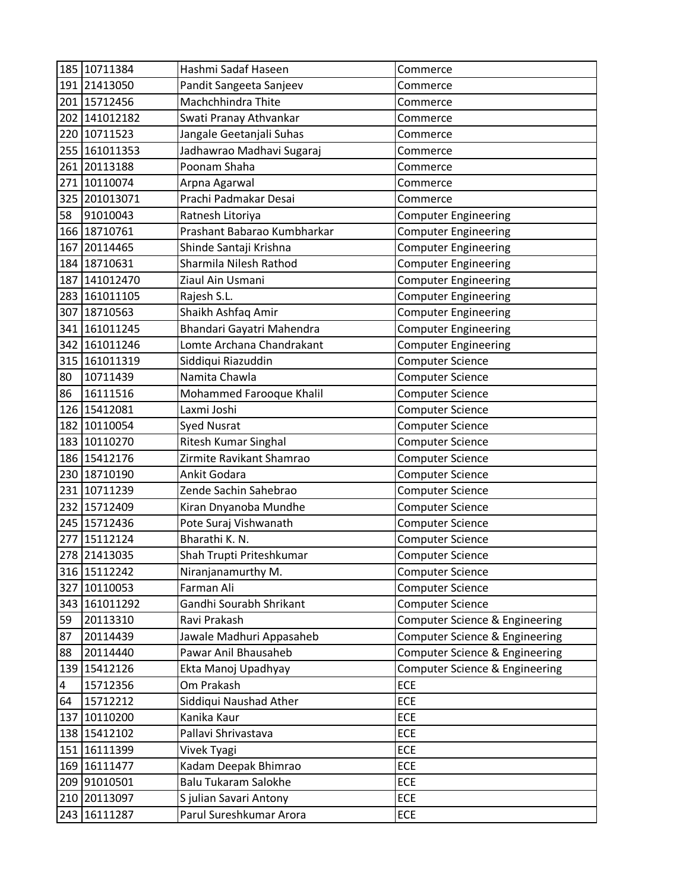|     | 185 10711384  | Hashmi Sadaf Haseen         | Commerce                       |
|-----|---------------|-----------------------------|--------------------------------|
|     | 191 21413050  | Pandit Sangeeta Sanjeev     | Commerce                       |
|     | 201 15712456  | Machchhindra Thite          | Commerce                       |
|     | 202 141012182 | Swati Pranay Athvankar      | Commerce                       |
|     | 220 10711523  | Jangale Geetanjali Suhas    | Commerce                       |
|     | 255 161011353 | Jadhawrao Madhavi Sugaraj   | Commerce                       |
|     | 261 20113188  | Poonam Shaha                | Commerce                       |
|     | 271 10110074  | Arpna Agarwal               | Commerce                       |
|     | 325 201013071 | Prachi Padmakar Desai       | Commerce                       |
| 58  | 91010043      | Ratnesh Litoriya            | <b>Computer Engineering</b>    |
|     | 166 18710761  | Prashant Babarao Kumbharkar | <b>Computer Engineering</b>    |
|     | 167 20114465  | Shinde Santaji Krishna      | <b>Computer Engineering</b>    |
|     | 184 18710631  | Sharmila Nilesh Rathod      | <b>Computer Engineering</b>    |
|     | 187 141012470 | Ziaul Ain Usmani            | <b>Computer Engineering</b>    |
|     | 283 161011105 | Rajesh S.L.                 | <b>Computer Engineering</b>    |
|     | 307 18710563  | Shaikh Ashfaq Amir          | <b>Computer Engineering</b>    |
|     | 341 161011245 | Bhandari Gayatri Mahendra   | <b>Computer Engineering</b>    |
|     | 342 161011246 | Lomte Archana Chandrakant   | <b>Computer Engineering</b>    |
|     | 315 161011319 | Siddiqui Riazuddin          | <b>Computer Science</b>        |
| 80  | 10711439      | Namita Chawla               | <b>Computer Science</b>        |
| 86  | 16111516      | Mohammed Farooque Khalil    | Computer Science               |
|     | 126 15412081  | Laxmi Joshi                 | <b>Computer Science</b>        |
|     | 182 10110054  | <b>Syed Nusrat</b>          | Computer Science               |
|     | 183 10110270  | Ritesh Kumar Singhal        | <b>Computer Science</b>        |
|     | 186 15412176  | Zirmite Ravikant Shamrao    | <b>Computer Science</b>        |
|     | 230 18710190  | Ankit Godara                | Computer Science               |
|     | 231 10711239  | Zende Sachin Sahebrao       | <b>Computer Science</b>        |
|     | 232 15712409  | Kiran Dnyanoba Mundhe       | <b>Computer Science</b>        |
|     | 245 15712436  | Pote Suraj Vishwanath       | Computer Science               |
| 277 | 15112124      | Bharathi K. N.              | <b>Computer Science</b>        |
|     | 278 21413035  | Shah Trupti Priteshkumar    | <b>Computer Science</b>        |
|     | 316 15112242  | Niranjanamurthy M.          | <b>Computer Science</b>        |
| 327 | 10110053      | Farman Ali                  | <b>Computer Science</b>        |
|     | 343 161011292 | Gandhi Sourabh Shrikant     | <b>Computer Science</b>        |
| 59  | 20113310      | Ravi Prakash                | Computer Science & Engineering |
| 87  | 20114439      | Jawale Madhuri Appasaheb    | Computer Science & Engineering |
| 88  | 20114440      | Pawar Anil Bhausaheb        | Computer Science & Engineering |
| 139 | 15412126      | Ekta Manoj Upadhyay         | Computer Science & Engineering |
| 4   | 15712356      | Om Prakash                  | ECE                            |
| 64  | 15712212      | Siddiqui Naushad Ather      | ECE                            |
| 137 | 10110200      | Kanika Kaur                 | <b>ECE</b>                     |
|     | 138 15412102  | Pallavi Shrivastava         | ECE                            |
|     | 151 16111399  | Vivek Tyagi                 | ECE                            |
|     | 169 16111477  | Kadam Deepak Bhimrao        | ECE                            |
|     | 209 91010501  | <b>Balu Tukaram Salokhe</b> | ECE                            |
|     | 210 20113097  | S julian Savari Antony      | <b>ECE</b>                     |
|     | 243 16111287  | Parul Sureshkumar Arora     | ECE                            |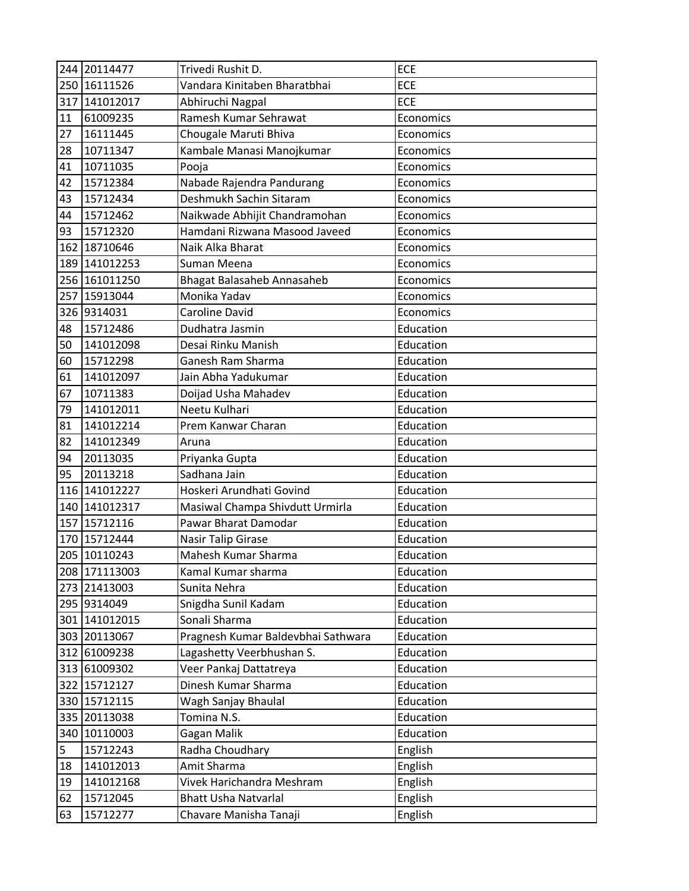|     | 244 20114477  | Trivedi Rushit D.                  | <b>ECE</b> |
|-----|---------------|------------------------------------|------------|
|     | 250 16111526  | Vandara Kinitaben Bharatbhai       | ECE        |
| 317 | 141012017     | Abhiruchi Nagpal                   | ECE        |
| 11  | 61009235      | Ramesh Kumar Sehrawat              | Economics  |
| 27  | 16111445      | Chougale Maruti Bhiva              | Economics  |
| 28  | 10711347      | Kambale Manasi Manojkumar          | Economics  |
| 41  | 10711035      | Pooja                              | Economics  |
| 42  | 15712384      | Nabade Rajendra Pandurang          | Economics  |
| 43  | 15712434      | Deshmukh Sachin Sitaram            | Economics  |
| 44  | 15712462      | Naikwade Abhijit Chandramohan      | Economics  |
| 93  | 15712320      | Hamdani Rizwana Masood Javeed      | Economics  |
|     | 162 18710646  | Naik Alka Bharat                   | Economics  |
| 189 | 141012253     | Suman Meena                        | Economics  |
|     | 256 161011250 | Bhagat Balasaheb Annasaheb         | Economics  |
| 257 | 15913044      | Monika Yadav                       | Economics  |
|     | 326 9314031   | <b>Caroline David</b>              | Economics  |
| 48  | 15712486      | Dudhatra Jasmin                    | Education  |
| 50  | 141012098     | Desai Rinku Manish                 | Education  |
| 60  | 15712298      | Ganesh Ram Sharma                  | Education  |
| 61  | 141012097     | Jain Abha Yadukumar                | Education  |
| 67  | 10711383      | Doijad Usha Mahadev                | Education  |
| 79  | 141012011     | Neetu Kulhari                      | Education  |
| 81  | 141012214     | Prem Kanwar Charan                 | Education  |
| 82  | 141012349     | Aruna                              | Education  |
| 94  | 20113035      | Priyanka Gupta                     | Education  |
| 95  | 20113218      | Sadhana Jain                       | Education  |
|     | 116 141012227 | Hoskeri Arundhati Govind           | Education  |
| 140 | 141012317     | Masiwal Champa Shivdutt Urmirla    | Education  |
| 157 | 15712116      | Pawar Bharat Damodar               | Education  |
|     | 170 15712444  | Nasir Talip Girase                 | Education  |
|     | 205 10110243  | Mahesh Kumar Sharma                | Education  |
|     | 208 171113003 | Kamal Kumar sharma                 | Education  |
|     | 273 21413003  | Sunita Nehra                       | Education  |
|     | 295 9314049   | Snigdha Sunil Kadam                | Education  |
|     | 301 141012015 | Sonali Sharma                      | Education  |
|     | 303 20113067  | Pragnesh Kumar Baldevbhai Sathwara | Education  |
|     | 312 61009238  | Lagashetty Veerbhushan S.          | Education  |
|     | 313 61009302  | Veer Pankaj Dattatreya             | Education  |
|     | 322 15712127  | Dinesh Kumar Sharma                | Education  |
|     | 330 15712115  | Wagh Sanjay Bhaulal                | Education  |
|     | 335 20113038  | Tomina N.S.                        | Education  |
|     | 340 10110003  | Gagan Malik                        | Education  |
| 5   | 15712243      | Radha Choudhary                    | English    |
| 18  | 141012013     | Amit Sharma                        | English    |
| 19  | 141012168     | Vivek Harichandra Meshram          | English    |
| 62  | 15712045      | <b>Bhatt Usha Natvarlal</b>        | English    |
| 63  | 15712277      | Chavare Manisha Tanaji             | English    |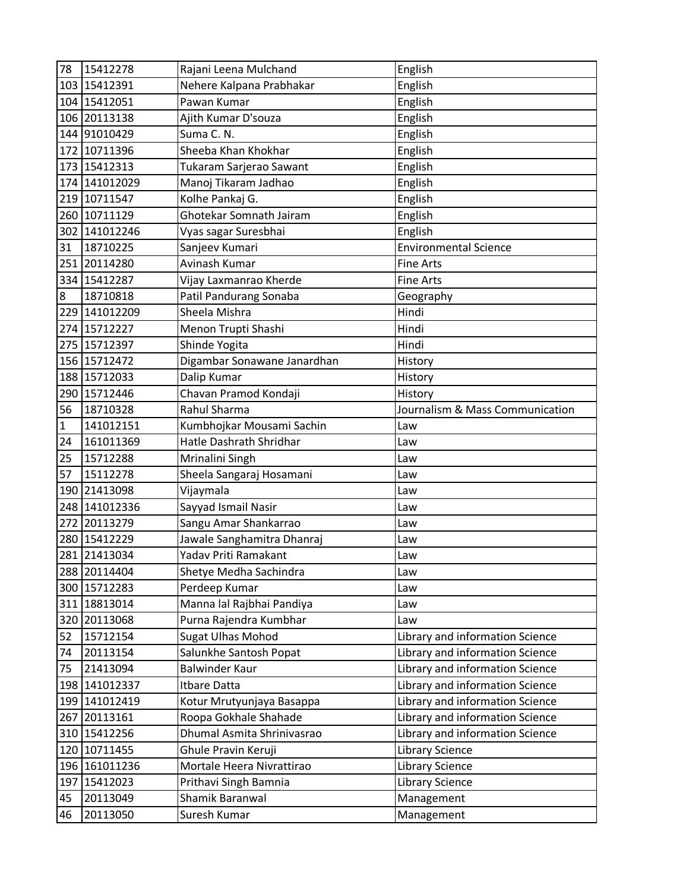| 78             | 15412278      | Rajani Leena Mulchand       | English                         |
|----------------|---------------|-----------------------------|---------------------------------|
|                | 103 15412391  | Nehere Kalpana Prabhakar    | English                         |
|                | 104 15412051  | Pawan Kumar                 | English                         |
|                | 106 20113138  | Ajith Kumar D'souza         | English                         |
|                | 144 91010429  | Suma C. N.                  | English                         |
|                | 172 10711396  | Sheeba Khan Khokhar         | English                         |
|                | 173 15412313  | Tukaram Sarjerao Sawant     | English                         |
|                | 174 141012029 | Manoj Tikaram Jadhao        | English                         |
| 219            | 10711547      | Kolhe Pankaj G.             | English                         |
|                | 260 10711129  | Ghotekar Somnath Jairam     | English                         |
|                | 302 141012246 | Vyas sagar Suresbhai        | English                         |
| 31             | 18710225      | Sanjeev Kumari              | <b>Environmental Science</b>    |
| 251            | 20114280      | Avinash Kumar               | <b>Fine Arts</b>                |
|                | 334 15412287  | Vijay Laxmanrao Kherde      | <b>Fine Arts</b>                |
| $\overline{8}$ | 18710818      | Patil Pandurang Sonaba      | Geography                       |
|                | 229 141012209 | Sheela Mishra               | Hindi                           |
|                | 274 15712227  | Menon Trupti Shashi         | Hindi                           |
| 275            | 15712397      | Shinde Yogita               | Hindi                           |
|                | 156 15712472  | Digambar Sonawane Janardhan | History                         |
|                | 188 15712033  | Dalip Kumar                 | History                         |
|                | 290 15712446  | Chavan Pramod Kondaji       | History                         |
| 56             | 18710328      | <b>Rahul Sharma</b>         | Journalism & Mass Communication |
| $\mathbf{1}$   | 141012151     | Kumbhojkar Mousami Sachin   | Law                             |
| 24             | 161011369     | Hatle Dashrath Shridhar     | Law                             |
| 25             | 15712288      | Mrinalini Singh             | Law                             |
| 57             | 15112278      | Sheela Sangaraj Hosamani    | Law                             |
| 190            | 21413098      | Vijaymala                   | Law                             |
| 248            | 141012336     | Sayyad Ismail Nasir         | Law                             |
| 272            | 20113279      | Sangu Amar Shankarrao       | Law                             |
|                | 280 15412229  | Jawale Sanghamitra Dhanraj  | Law                             |
|                | 281 21413034  | Yadav Priti Ramakant        | Law                             |
|                | 288 20114404  | Shetye Medha Sachindra      | Law                             |
|                | 300 15712283  | Perdeep Kumar               | Law                             |
|                | 311 18813014  | Manna lal Rajbhai Pandiya   | Law                             |
|                | 320 20113068  | Purna Rajendra Kumbhar      | Law                             |
| 52             | 15712154      | <b>Sugat Ulhas Mohod</b>    | Library and information Science |
| 74             | 20113154      | Salunkhe Santosh Popat      | Library and information Science |
| 75             | 21413094      | <b>Balwinder Kaur</b>       | Library and information Science |
|                | 198 141012337 | Itbare Datta                | Library and information Science |
|                | 199 141012419 | Kotur Mrutyunjaya Basappa   | Library and information Science |
| 267            | 20113161      | Roopa Gokhale Shahade       | Library and information Science |
|                | 310 15412256  | Dhumal Asmita Shrinivasrao  | Library and information Science |
|                | 120 10711455  | Ghule Pravin Keruji         | <b>Library Science</b>          |
|                | 196 161011236 | Mortale Heera Nivrattirao   | <b>Library Science</b>          |
| 197            | 15412023      | Prithavi Singh Bamnia       | <b>Library Science</b>          |
| 45             | 20113049      | Shamik Baranwal             | Management                      |
| 46             | 20113050      | Suresh Kumar                | Management                      |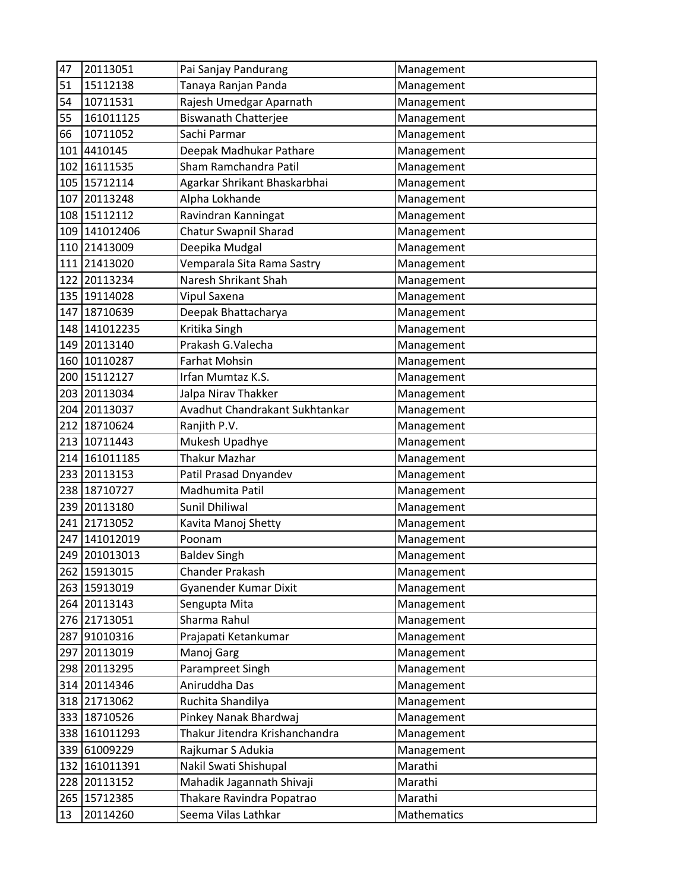| 47  | 20113051      | Pai Sanjay Pandurang           | Management  |
|-----|---------------|--------------------------------|-------------|
| 51  | 15112138      | Tanaya Ranjan Panda            | Management  |
| 54  | 10711531      | Rajesh Umedgar Aparnath        | Management  |
| 55  | 161011125     | <b>Biswanath Chatterjee</b>    | Management  |
| 66  | 10711052      | Sachi Parmar                   | Management  |
| 101 | 4410145       | Deepak Madhukar Pathare        | Management  |
| 102 | 16111535      | Sham Ramchandra Patil          | Management  |
| 105 | 15712114      | Agarkar Shrikant Bhaskarbhai   | Management  |
| 107 | 20113248      | Alpha Lokhande                 | Management  |
| 108 | 15112112      | Ravindran Kanningat            | Management  |
| 109 | 141012406     | Chatur Swapnil Sharad          | Management  |
|     | 110 21413009  | Deepika Mudgal                 | Management  |
| 111 | 21413020      | Vemparala Sita Rama Sastry     | Management  |
|     | 122 20113234  | Naresh Shrikant Shah           | Management  |
|     | 135 19114028  | Vipul Saxena                   | Management  |
| 147 | 18710639      | Deepak Bhattacharya            | Management  |
|     | 148 141012235 | Kritika Singh                  | Management  |
| 149 | 20113140      | Prakash G.Valecha              | Management  |
| 160 | 10110287      | <b>Farhat Mohsin</b>           | Management  |
| 200 | 15112127      | Irfan Mumtaz K.S.              | Management  |
| 203 | 20113034      | Jalpa Nirav Thakker            | Management  |
|     | 204 20113037  | Avadhut Chandrakant Sukhtankar | Management  |
| 212 | 18710624      | Ranjith P.V.                   | Management  |
| 213 | 10711443      | Mukesh Upadhye                 | Management  |
| 214 | 161011185     | <b>Thakur Mazhar</b>           | Management  |
| 233 | 20113153      | Patil Prasad Dnyandev          | Management  |
|     | 238 18710727  | Madhumita Patil                | Management  |
| 239 | 20113180      | Sunil Dhiliwal                 | Management  |
| 241 | 21713052      | Kavita Manoj Shetty            | Management  |
| 247 | 141012019     | Poonam                         | Management  |
| 249 | 201013013     | <b>Baldev Singh</b>            | Management  |
|     | 262 15913015  | <b>Chander Prakash</b>         | Management  |
|     | 263 15913019  | Gyanender Kumar Dixit          | Management  |
|     | 264 20113143  | Sengupta Mita                  | Management  |
|     | 276 21713051  | Sharma Rahul                   | Management  |
| 287 | 91010316      | Prajapati Ketankumar           | Management  |
|     | 297 20113019  | Manoj Garg                     | Management  |
|     | 298 20113295  | Parampreet Singh               | Management  |
|     | 314 20114346  | Aniruddha Das                  | Management  |
|     | 318 21713062  | Ruchita Shandilya              | Management  |
| 333 | 18710526      | Pinkey Nanak Bhardwaj          | Management  |
|     | 338 161011293 | Thakur Jitendra Krishanchandra | Management  |
| 339 | 61009229      | Rajkumar S Adukia              | Management  |
|     | 132 161011391 | Nakil Swati Shishupal          | Marathi     |
| 228 | 20113152      | Mahadik Jagannath Shivaji      | Marathi     |
| 265 | 15712385      | Thakare Ravindra Popatrao      | Marathi     |
| 13  | 20114260      | Seema Vilas Lathkar            | Mathematics |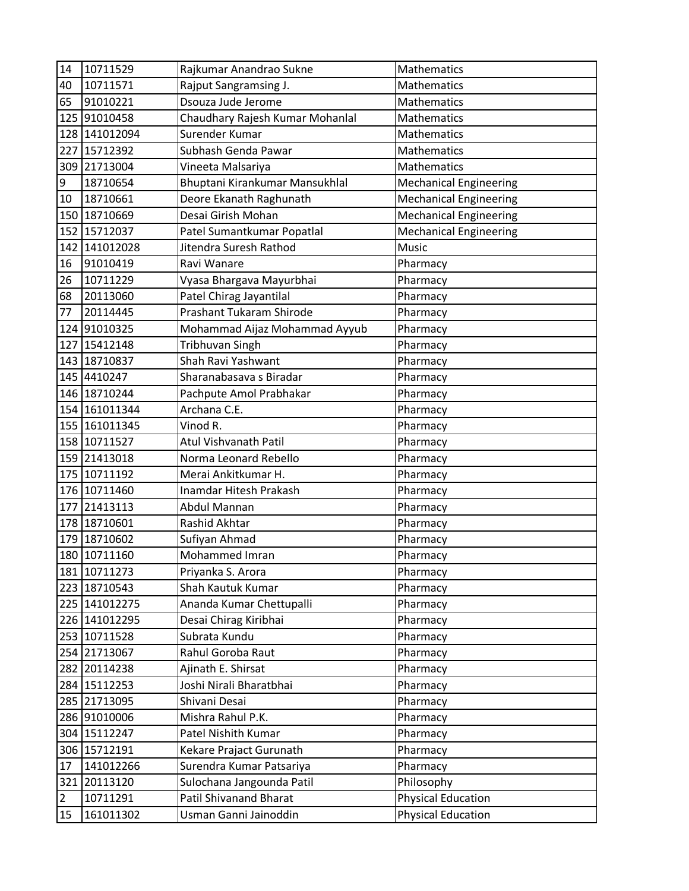| 14  | 10711529      | Rajkumar Anandrao Sukne         | <b>Mathematics</b>            |
|-----|---------------|---------------------------------|-------------------------------|
| 40  | 10711571      | Rajput Sangramsing J.           | <b>Mathematics</b>            |
| 65  | 91010221      | Dsouza Jude Jerome              | <b>Mathematics</b>            |
| 125 | 91010458      | Chaudhary Rajesh Kumar Mohanlal | Mathematics                   |
| 128 | 141012094     | Surender Kumar                  | <b>Mathematics</b>            |
| 227 | 15712392      | Subhash Genda Pawar             | <b>Mathematics</b>            |
| 309 | 21713004      | Vineeta Malsariya               | Mathematics                   |
| 9   | 18710654      | Bhuptani Kirankumar Mansukhlal  | <b>Mechanical Engineering</b> |
| 10  | 18710661      | Deore Ekanath Raghunath         | <b>Mechanical Engineering</b> |
| 150 | 18710669      | Desai Girish Mohan              | <b>Mechanical Engineering</b> |
| 152 | 15712037      | Patel Sumantkumar Popatlal      | <b>Mechanical Engineering</b> |
|     | 142 141012028 | Jitendra Suresh Rathod          | Music                         |
| 16  | 91010419      | Ravi Wanare                     | Pharmacy                      |
| 26  | 10711229      | Vyasa Bhargava Mayurbhai        | Pharmacy                      |
| 68  | 20113060      | Patel Chirag Jayantilal         | Pharmacy                      |
| 77  | 20114445      | Prashant Tukaram Shirode        | Pharmacy                      |
|     | 124 91010325  | Mohammad Aijaz Mohammad Ayyub   | Pharmacy                      |
| 127 | 15412148      | <b>Tribhuvan Singh</b>          | Pharmacy                      |
|     | 143 18710837  | Shah Ravi Yashwant              | Pharmacy                      |
|     | 145 4410247   | Sharanabasava s Biradar         | Pharmacy                      |
|     | 146 18710244  | Pachpute Amol Prabhakar         | Pharmacy                      |
|     | 154 161011344 | Archana C.E.                    | Pharmacy                      |
|     | 155 161011345 | Vinod R.                        | Pharmacy                      |
|     | 158 10711527  | Atul Vishvanath Patil           | Pharmacy                      |
| 159 | 21413018      | Norma Leonard Rebello           | Pharmacy                      |
| 175 | 10711192      | Merai Ankitkumar H.             | Pharmacy                      |
|     | 176 10711460  | Inamdar Hitesh Prakash          | Pharmacy                      |
| 177 | 21413113      | Abdul Mannan                    | Pharmacy                      |
|     | 178 18710601  | Rashid Akhtar                   | Pharmacy                      |
| 179 | 18710602      | Sufiyan Ahmad                   | Pharmacy                      |
|     | 180 10711160  | <b>Mohammed Imran</b>           | Pharmacy                      |
|     | 181 10711273  | Priyanka S. Arora               | Pharmacy                      |
|     | 223 18710543  | Shah Kautuk Kumar               | Pharmacy                      |
|     | 225 141012275 | Ananda Kumar Chettupalli        | Pharmacy                      |
|     | 226 141012295 | Desai Chirag Kiribhai           | Pharmacy                      |
|     | 253 10711528  | Subrata Kundu                   | Pharmacy                      |
|     | 254 21713067  | Rahul Goroba Raut               | Pharmacy                      |
|     | 282 20114238  | Ajinath E. Shirsat              | Pharmacy                      |
|     | 284 15112253  | Joshi Nirali Bharatbhai         | Pharmacy                      |
|     | 285 21713095  | Shivani Desai                   | Pharmacy                      |
|     | 286 91010006  | Mishra Rahul P.K.               | Pharmacy                      |
|     | 304 15112247  | Patel Nishith Kumar             | Pharmacy                      |
|     | 306 15712191  | Kekare Prajact Gurunath         | Pharmacy                      |
| 17  | 141012266     | Surendra Kumar Patsariya        | Pharmacy                      |
| 321 | 20113120      | Sulochana Jangounda Patil       | Philosophy                    |
| 2   | 10711291      | <b>Patil Shivanand Bharat</b>   | <b>Physical Education</b>     |
| 15  | 161011302     | Usman Ganni Jainoddin           | <b>Physical Education</b>     |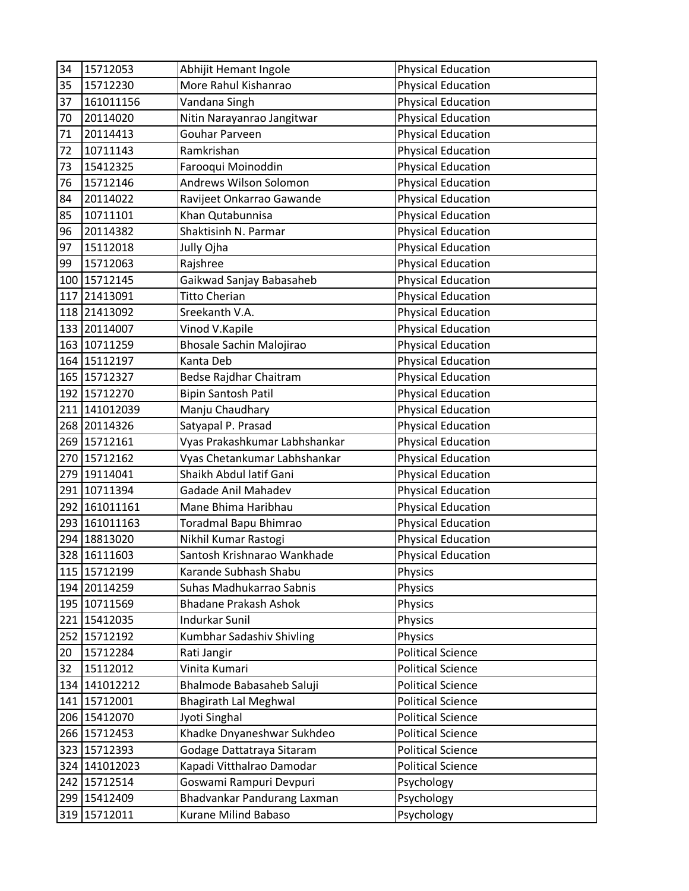| 34  | 15712053      | Abhijit Hemant Ingole         | <b>Physical Education</b> |
|-----|---------------|-------------------------------|---------------------------|
| 35  | 15712230      | More Rahul Kishanrao          | <b>Physical Education</b> |
| 37  | 161011156     | Vandana Singh                 | <b>Physical Education</b> |
| 70  | 20114020      | Nitin Narayanrao Jangitwar    | <b>Physical Education</b> |
| 71  | 20114413      | Gouhar Parveen                | <b>Physical Education</b> |
| 72  | 10711143      | Ramkrishan                    | <b>Physical Education</b> |
| 73  | 15412325      | Farooqui Moinoddin            | <b>Physical Education</b> |
| 76  | 15712146      | Andrews Wilson Solomon        | <b>Physical Education</b> |
| 84  | 20114022      | Ravijeet Onkarrao Gawande     | <b>Physical Education</b> |
| 85  | 10711101      | Khan Qutabunnisa              | <b>Physical Education</b> |
| 96  | 20114382      | Shaktisinh N. Parmar          | <b>Physical Education</b> |
| 97  | 15112018      | Jully Ojha                    | <b>Physical Education</b> |
| 99  | 15712063      | Rajshree                      | <b>Physical Education</b> |
| 100 | 15712145      | Gaikwad Sanjay Babasaheb      | <b>Physical Education</b> |
| 117 | 21413091      | <b>Titto Cherian</b>          | <b>Physical Education</b> |
|     | 118 21413092  | Sreekanth V.A.                | <b>Physical Education</b> |
|     | 133 20114007  | Vinod V.Kapile                | <b>Physical Education</b> |
|     | 163 10711259  | Bhosale Sachin Malojirao      | <b>Physical Education</b> |
|     | 164 15112197  | Kanta Deb                     | <b>Physical Education</b> |
| 165 | 15712327      | Bedse Rajdhar Chaitram        | <b>Physical Education</b> |
|     | 192 15712270  | <b>Bipin Santosh Patil</b>    | <b>Physical Education</b> |
|     | 211 141012039 | Manju Chaudhary               | <b>Physical Education</b> |
|     | 268 20114326  | Satyapal P. Prasad            | <b>Physical Education</b> |
|     | 269 15712161  | Vyas Prakashkumar Labhshankar | <b>Physical Education</b> |
| 270 | 15712162      | Vyas Chetankumar Labhshankar  | <b>Physical Education</b> |
| 279 | 19114041      | Shaikh Abdul latif Gani       | <b>Physical Education</b> |
|     | 291 10711394  | Gadade Anil Mahadev           | <b>Physical Education</b> |
|     | 292 161011161 | Mane Bhima Haribhau           | <b>Physical Education</b> |
|     | 293 161011163 | Toradmal Bapu Bhimrao         | <b>Physical Education</b> |
| 294 | 18813020      | Nikhil Kumar Rastogi          | <b>Physical Education</b> |
|     | 328 16111603  | Santosh Krishnarao Wankhade   | <b>Physical Education</b> |
|     | 115 15712199  | Karande Subhash Shabu         | Physics                   |
|     | 194 20114259  | Suhas Madhukarrao Sabnis      | Physics                   |
|     | 195 10711569  | <b>Bhadane Prakash Ashok</b>  | Physics                   |
|     | 221 15412035  | <b>Indurkar Sunil</b>         | Physics                   |
|     | 252 15712192  | Kumbhar Sadashiv Shivling     | Physics                   |
| 20  | 15712284      | Rati Jangir                   | <b>Political Science</b>  |
| 32  | 15112012      | Vinita Kumari                 | <b>Political Science</b>  |
|     | 134 141012212 | Bhalmode Babasaheb Saluji     | <b>Political Science</b>  |
|     | 141 15712001  | <b>Bhagirath Lal Meghwal</b>  | <b>Political Science</b>  |
|     | 206 15412070  | Jyoti Singhal                 | <b>Political Science</b>  |
|     | 266 15712453  | Khadke Dnyaneshwar Sukhdeo    | <b>Political Science</b>  |
| 323 | 15712393      | Godage Dattatraya Sitaram     | <b>Political Science</b>  |
|     | 324 141012023 | Kapadi Vitthalrao Damodar     | <b>Political Science</b>  |
|     | 242 15712514  | Goswami Rampuri Devpuri       | Psychology                |
| 299 | 15412409      | Bhadvankar Pandurang Laxman   | Psychology                |
|     | 319 15712011  | Kurane Milind Babaso          | Psychology                |